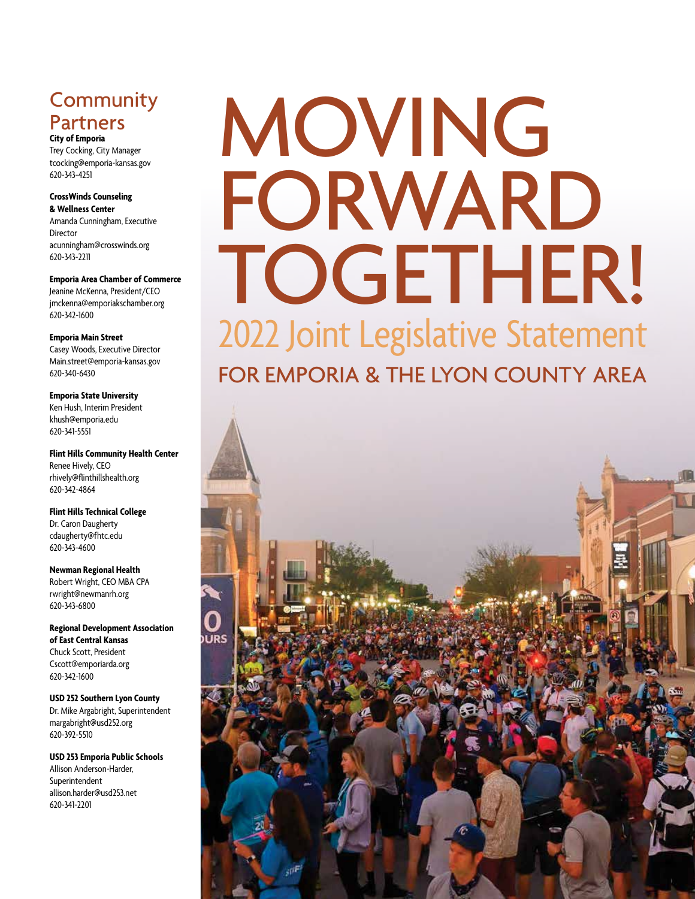## **Community** Partners

**City of Emporia**  Trey Cocking, City Manager tcocking@emporia-kansas.gov 620-343-4251

#### **CrossWinds Counseling & Wellness Center** Amanda Cunningham, Executive

Director acunningham@crosswinds.org 620-343-2211

**Emporia Area Chamber of Commerce** Jeanine McKenna, President/CEO jmckenna@emporiakschamber.org 620-342-1600

**Emporia Main Street**  Casey Woods, Executive Director Main.street@emporia-kansas.gov 620-340-6430

**Emporia State University** Ken Hush, Interim President khush@emporia.edu 620-341-5551

**Flint Hills Community Health Center** Renee Hively, CEO rhively@flinthillshealth.org 620-342-4864

**Flint Hills Technical College** Dr. Caron Daugherty cdaugherty@fhtc.edu 620-343-4600

**Newman Regional Health** Robert Wright, CEO MBA CPA rwright@newmanrh.org 620-343-6800

**Regional Development Association of East Central Kansas** Chuck Scott, President Cscott@emporiarda.org 620-342-1600

**USD 252 Southern Lyon County** Dr. Mike Argabright, Superintendent margabright@usd252.org 620-392-5510

**USD 253 Emporia Public Schools** Allison Anderson-Harder, Superintendent allison.harder@usd253.net 620-341-2201

# MOVING FORWARD TOGETHER! 2022 Joint Legislative Statement

FOR EMPORIA & THE LYON COUNTY AREA

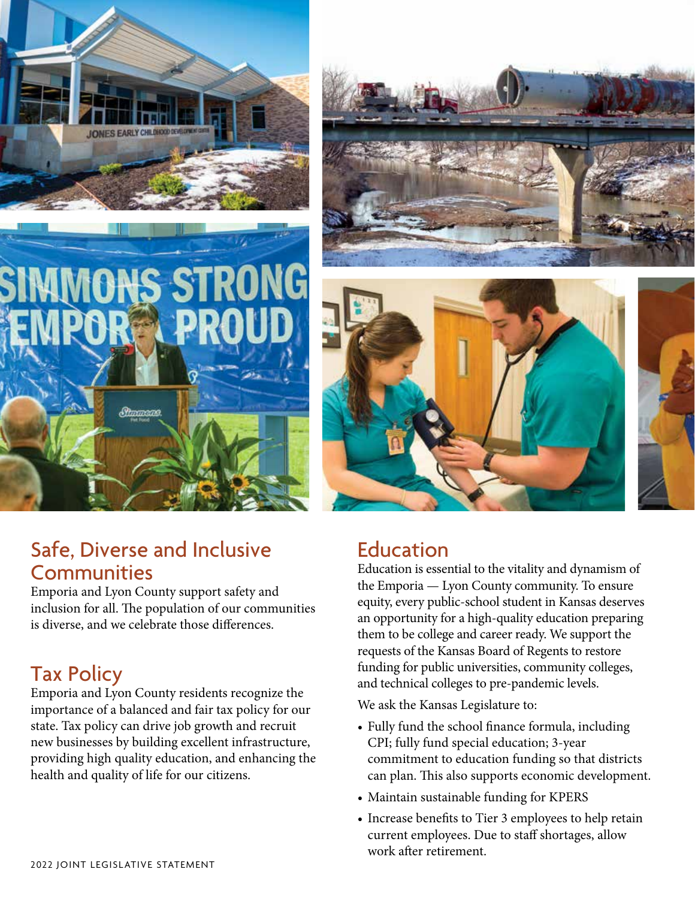









Emporia and Lyon County support safety and inclusion for all. The population of our communities is diverse, and we celebrate those differences.

# Tax Policy

Emporia and Lyon County residents recognize the importance of a balanced and fair tax policy for our state. Tax policy can drive job growth and recruit new businesses by building excellent infrastructure, providing high quality education, and enhancing the health and quality of life for our citizens.

### Education

Education is essential to the vitality and dynamism of the Emporia — Lyon County community. To ensure equity, every public-school student in Kansas deserves an opportunity for a high-quality education preparing them to be college and career ready. We support the requests of the Kansas Board of Regents to restore funding for public universities, community colleges, and technical colleges to pre-pandemic levels.

We ask the Kansas Legislature to:

- Fully fund the school finance formula, including CPI; fully fund special education; 3-year commitment to education funding so that districts can plan. This also supports economic development.
- Maintain sustainable funding for KPERS
- Increase benefits to Tier 3 employees to help retain current employees. Due to staff shortages, allow work after retirement.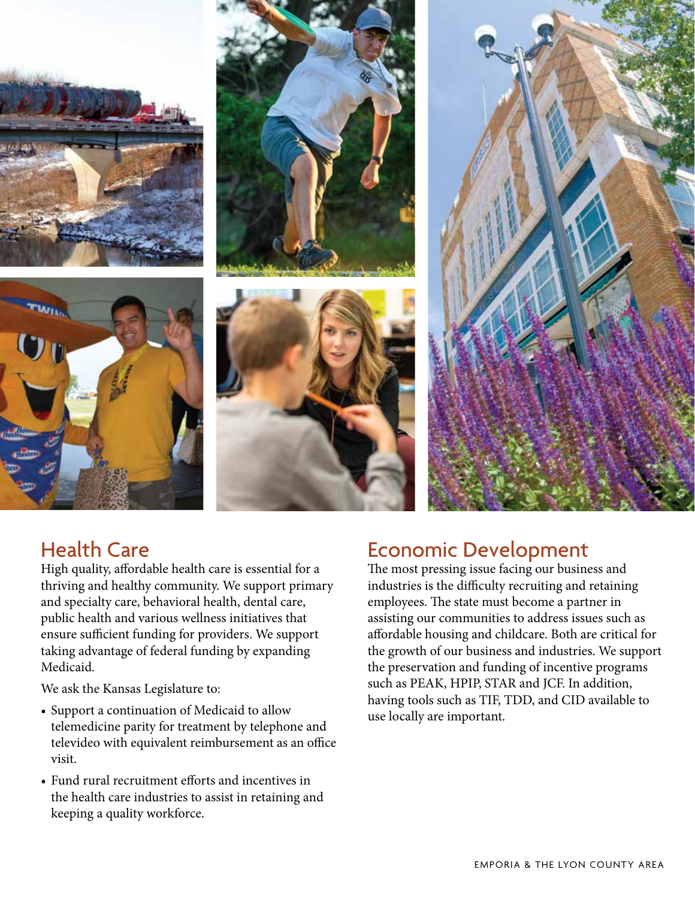









# Health Care

High quality, affordable health care is essential for a thriving and healthy community. We support primary and specialty care, behavioral health, dental care, public health and various wellness initiatives that ensure sufficient funding for providers. We support taking advantage of federal funding by expanding Medicaid.

We ask the Kansas Legislature to:

- Support a continuation of Medicaid to allow telemedicine parity for treatment by telephone and televideo with equivalent reimbursement as an office visit.
- Fund rural recruitment efforts and incentives in the health care industries to assist in retaining and keeping a quality workforce.

### Economic Development

The most pressing issue facing our business and industries is the difficulty recruiting and retaining employees. The state must become a partner in assisting our communities to address issues such as affordable housing and childcare. Both are critical for the growth of our business and industries. We support the preservation and funding of incentive programs such as PEAK, HPIP, STAR and JCF. In addition, having tools such as TIF, TDD, and CID available to use locally are important.